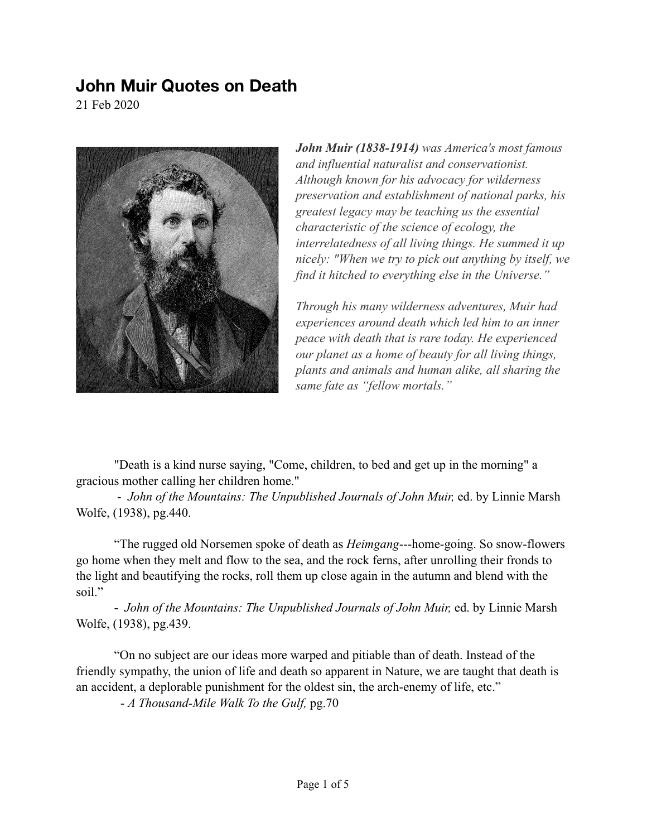## **John Muir Quotes on Death**

21 Feb 2020



*John Muir (1838-1914) was America's most famous and influential naturalist and conservationist. Although known for his advocacy for wilderness preservation and establishment of national parks, his greatest legacy may be teaching us the essential characteristic of the science of ecology, the interrelatedness of all living things. He summed it up nicely: "When we try to pick out anything by itself, we find it hitched to everything else in the Universe."* 

*Through his many wilderness adventures, Muir had experiences around death which led him to an inner peace with death that is rare today. He experienced our planet as a home of beauty for all living things, plants and animals and human alike, all sharing the same fate as "fellow mortals."* 

"Death is a kind nurse saying, "Come, children, to bed and get up in the morning" a gracious mother calling her children home."

 - *John of the Mountains: The Unpublished Journals of John Muir,* ed. by Linnie Marsh Wolfe, (1938), pg.440.

"The rugged old Norsemen spoke of death as *Heimgang*---home-going. So snow-flowers go home when they melt and flow to the sea, and the rock ferns, after unrolling their fronds to the light and beautifying the rocks, roll them up close again in the autumn and blend with the soil."

 - *John of the Mountains: The Unpublished Journals of John Muir,* ed. by Linnie Marsh Wolfe, (1938), pg.439.

"On no subject are our ideas more warped and pitiable than of death. Instead of the friendly sympathy, the union of life and death so apparent in Nature, we are taught that death is an accident, a deplorable punishment for the oldest sin, the arch-enemy of life, etc."

- *A Thousand-Mile Walk To the Gulf,* pg.70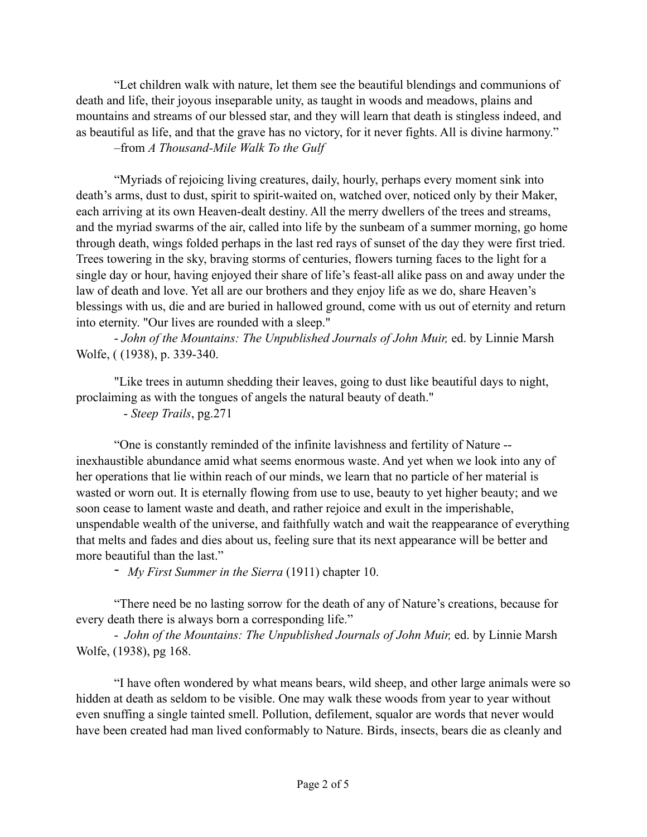"Let children walk with nature, let them see the beautiful blendings and communions of death and life, their joyous inseparable unity, as taught in woods and meadows, plains and mountains and streams of our blessed star, and they will learn that death is stingless indeed, and as beautiful as life, and that the grave has no victory, for it never fights. All is divine harmony." –from *A Thousand-Mile Walk To the Gulf* 

 "Myriads of rejoicing living creatures, daily, hourly, perhaps every moment sink into death's arms, dust to dust, spirit to spirit-waited on, watched over, noticed only by their Maker, each arriving at its own Heaven-dealt destiny. All the merry dwellers of the trees and streams, and the myriad swarms of the air, called into life by the sunbeam of a summer morning, go home through death, wings folded perhaps in the last red rays of sunset of the day they were first tried. Trees towering in the sky, braving storms of centuries, flowers turning faces to the light for a single day or hour, having enjoyed their share of life's feast-all alike pass on and away under the law of death and love. Yet all are our brothers and they enjoy life as we do, share Heaven's blessings with us, die and are buried in hallowed ground, come with us out of eternity and return into eternity. "Our lives are rounded with a sleep."

 - *John of the Mountains: The Unpublished Journals of John Muir,* ed. by Linnie Marsh Wolfe, ( (1938), p. 339-340.

"Like trees in autumn shedding their leaves, going to dust like beautiful days to night, proclaiming as with the tongues of angels the natural beauty of death."

- *Steep Trails*, pg.271

 "One is constantly reminded of the infinite lavishness and fertility of Nature - inexhaustible abundance amid what seems enormous waste. And yet when we look into any of her operations that lie within reach of our minds, we learn that no particle of her material is wasted or worn out. It is eternally flowing from use to use, beauty to yet higher beauty; and we soon cease to lament waste and death, and rather rejoice and exult in the imperishable, unspendable wealth of the universe, and faithfully watch and wait the reappearance of everything that melts and fades and dies about us, feeling sure that its next appearance will be better and more beautiful than the last."

- *My First Summer in the Sierra* (1911) chapter 10.

 "There need be no lasting sorrow for the death of any of Nature's creations, because for every death there is always born a corresponding life."

 - *John of the Mountains: The Unpublished Journals of John Muir,* ed. by Linnie Marsh Wolfe, (1938), pg 168.

 "I have often wondered by what means bears, wild sheep, and other large animals were so hidden at death as seldom to be visible. One may walk these woods from year to year without even snuffing a single tainted smell. Pollution, defilement, squalor are words that never would have been created had man lived conformably to Nature. Birds, insects, bears die as cleanly and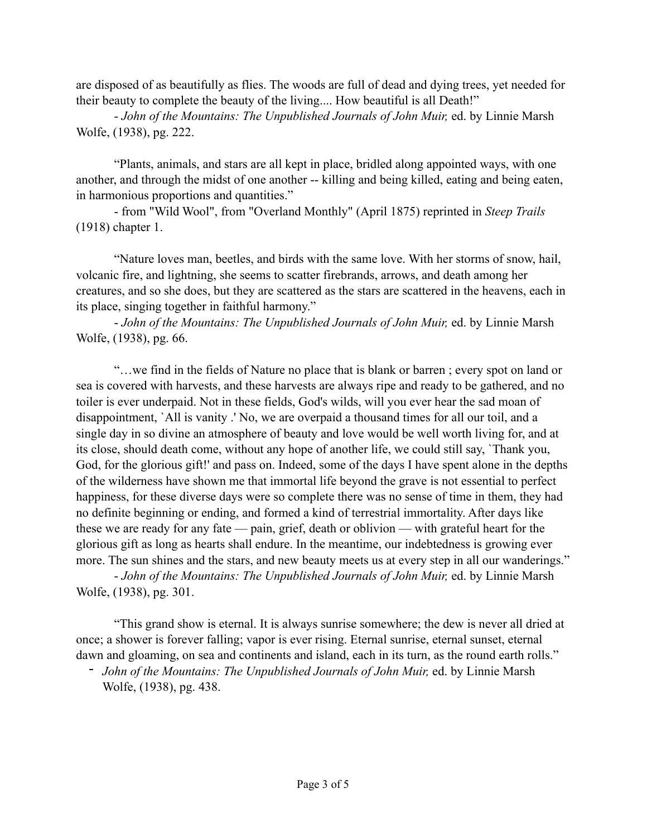are disposed of as beautifully as flies. The woods are full of dead and dying trees, yet needed for their beauty to complete the beauty of the living.... How beautiful is all Death!"

 - *John of the Mountains: The Unpublished Journals of John Muir,* ed. by Linnie Marsh Wolfe, (1938), pg. 222.

 "Plants, animals, and stars are all kept in place, bridled along appointed ways, with one another, and through the midst of one another -- killing and being killed, eating and being eaten, in harmonious proportions and quantities."

 - from "Wild Wool", from "Overland Monthly" (April 1875) reprinted in *Steep Trails*  (1918) chapter 1.

 "Nature loves man, beetles, and birds with the same love. With her storms of snow, hail, volcanic fire, and lightning, she seems to scatter firebrands, arrows, and death among her creatures, and so she does, but they are scattered as the stars are scattered in the heavens, each in its place, singing together in faithful harmony."

 - *John of the Mountains: The Unpublished Journals of John Muir,* ed. by Linnie Marsh Wolfe, (1938), pg. 66.

 "…we find in the fields of Nature no place that is blank or barren ; every spot on land or sea is covered with harvests, and these harvests are always ripe and ready to be gathered, and no toiler is ever underpaid. Not in these fields, God's wilds, will you ever hear the sad moan of disappointment, `All is vanity .' No, we are overpaid a thousand times for all our toil, and a single day in so divine an atmosphere of beauty and love would be well worth living for, and at its close, should death come, without any hope of another life, we could still say, `Thank you, God, for the glorious gift!' and pass on. Indeed, some of the days I have spent alone in the depths of the wilderness have shown me that immortal life beyond the grave is not essential to perfect happiness, for these diverse days were so complete there was no sense of time in them, they had no definite beginning or ending, and formed a kind of terrestrial immortality. After days like these we are ready for any fate — pain, grief, death or oblivion — with grateful heart for the glorious gift as long as hearts shall endure. In the meantime, our indebtedness is growing ever more. The sun shines and the stars, and new beauty meets us at every step in all our wanderings."

 - *John of the Mountains: The Unpublished Journals of John Muir,* ed. by Linnie Marsh Wolfe, (1938), pg. 301.

 "This grand show is eternal. It is always sunrise somewhere; the dew is never all dried at once; a shower is forever falling; vapor is ever rising. Eternal sunrise, eternal sunset, eternal dawn and gloaming, on sea and continents and island, each in its turn, as the round earth rolls."

- *John of the Mountains: The Unpublished Journals of John Muir,* ed. by Linnie Marsh Wolfe, (1938), pg. 438.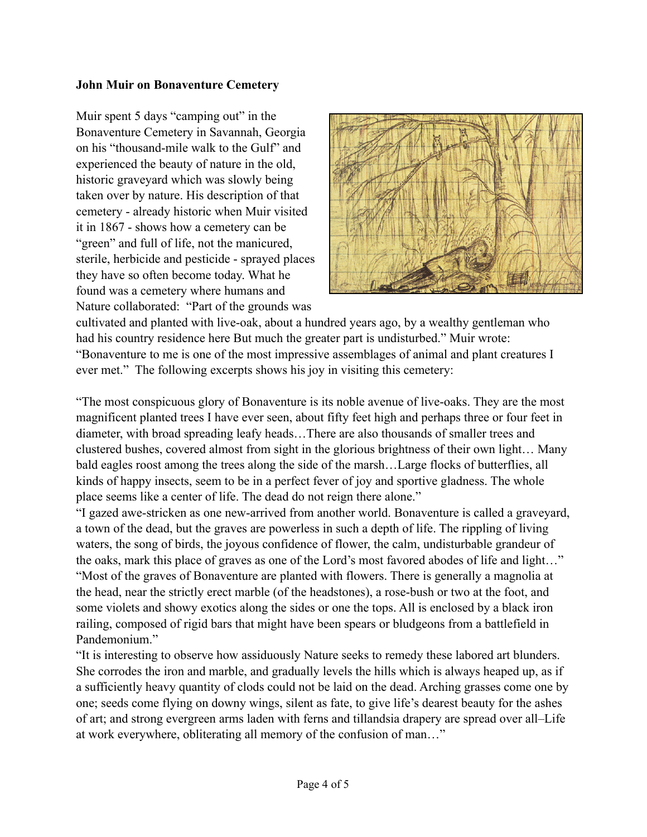## **John Muir on Bonaventure Cemetery**

Muir spent 5 days "camping out" in the Bonaventure Cemetery in Savannah, Georgia on his "thousand-mile walk to the Gulf" and experienced the beauty of nature in the old, historic graveyard which was slowly being taken over by nature. His description of that cemetery - already historic when Muir visited it in 1867 - shows how a cemetery can be "green" and full of life, not the manicured, sterile, herbicide and pesticide - sprayed places they have so often become today. What he found was a cemetery where humans and Nature collaborated: "Part of the grounds was



cultivated and planted with live-oak, about a hundred years ago, by a wealthy gentleman who had his country residence here But much the greater part is undisturbed." Muir wrote: "Bonaventure to me is one of the most impressive assemblages of animal and plant creatures I ever met." The following excerpts shows his joy in visiting this cemetery:

"The most conspicuous glory of Bonaventure is its noble avenue of live-oaks. They are the most magnificent planted trees I have ever seen, about fifty feet high and perhaps three or four feet in diameter, with broad spreading leafy heads…There are also thousands of smaller trees and clustered bushes, covered almost from sight in the glorious brightness of their own light… Many bald eagles roost among the trees along the side of the marsh…Large flocks of butterflies, all kinds of happy insects, seem to be in a perfect fever of joy and sportive gladness. The whole place seems like a center of life. The dead do not reign there alone."

"I gazed awe-stricken as one new-arrived from another world. Bonaventure is called a graveyard, a town of the dead, but the graves are powerless in such a depth of life. The rippling of living waters, the song of birds, the joyous confidence of flower, the calm, undisturbable grandeur of the oaks, mark this place of graves as one of the Lord's most favored abodes of life and light…" "Most of the graves of Bonaventure are planted with flowers. There is generally a magnolia at the head, near the strictly erect marble (of the headstones), a rose-bush or two at the foot, and some violets and showy exotics along the sides or one the tops. All is enclosed by a black iron railing, composed of rigid bars that might have been spears or bludgeons from a battlefield in Pandemonium."

"It is interesting to observe how assiduously Nature seeks to remedy these labored art blunders. She corrodes the iron and marble, and gradually levels the hills which is always heaped up, as if a sufficiently heavy quantity of clods could not be laid on the dead. Arching grasses come one by one; seeds come flying on downy wings, silent as fate, to give life's dearest beauty for the ashes of art; and strong evergreen arms laden with ferns and tillandsia drapery are spread over all–Life at work everywhere, obliterating all memory of the confusion of man…"